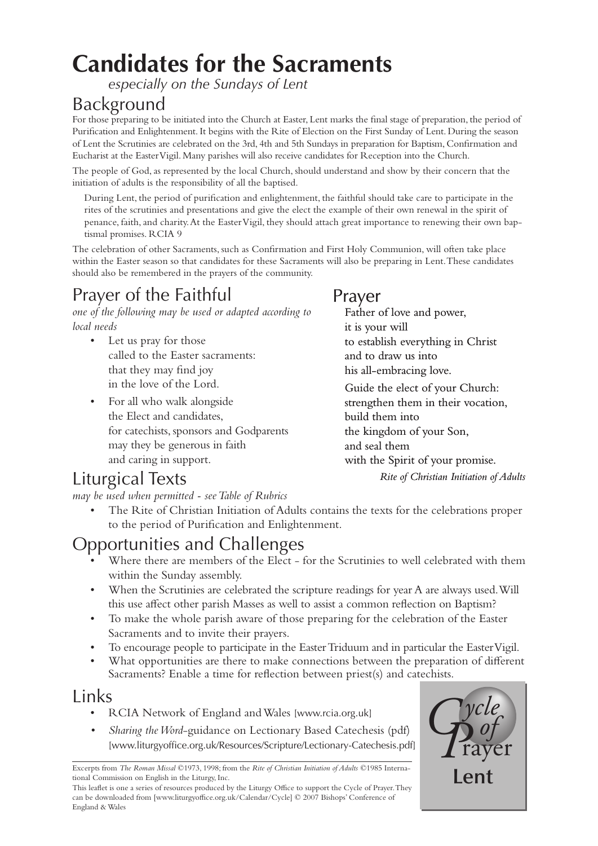# **Candidates for the Sacraments**

*especially on the Sundays of Lent*

### Background

For those preparing to be initiated into the Church at Easter, Lent marks the final stage of preparation, the period of Purification and Enlightenment. It begins with the Rite of Election on the First Sunday of Lent. During the season of Lent the Scrutinies are celebrated on the 3rd, 4th and 5th Sundays in preparation for Baptism, Confirmation and Eucharist at the Easter Vigil. Many parishes will also receive candidates for Reception into the Church.

The people of God, as represented by the local Church, should understand and show by their concern that the initiation of adults is the responsibility of all the baptised.

During Lent, the period of purification and enlightenment, the faithful should take care to participate in the rites of the scrutinies and presentations and give the elect the example of their own renewal in the spirit of penance, faith, and charity. At the Easter Vigil, they should attach great importance to renewing their own baptismal promises. RCIA 9

The celebration of other Sacraments, such as Confirmation and First Holy Communion, will often take place within the Easter season so that candidates for these Sacraments will also be preparing in Lent. These candidates should also be remembered in the prayers of the community.

### Prayer of the Faithful

*one of the following may be used or adapted according to local needs*

- Let us pray for those called to the Easter sacraments: that they may find joy in the love of the Lord.
- For all who walk alongside the Elect and candidates, for catechists, sponsors and Godparents may they be generous in faith and caring in support. •

### Prayer

Father of love and power, it is your will to establish everything in Christ and to draw us into his all-embracing love. Guide the elect of your Church: strengthen them in their vocation, build them into the kingdom of your Son, and seal them with the Spirit of your promise. *Rite of Christian Initiation of Adults*

### Liturgical Texts

*may be used when permitted - see Table of Rubrics*

• The Rite of Christian Initiation of Adults contains the texts for the celebrations proper to the period of Purification and Enlightenment.

### Opportunities and Challenges

- Where there are members of the Elect for the Scrutinies to well celebrated with them within the Sunday assembly. •
- When the Scrutinies are celebrated the scripture readings for year A are always used. Will this use affect other parish Masses as well to assist a common reflection on Baptism? •
- To make the whole parish aware of those preparing for the celebration of the Easter Sacraments and to invite their prayers. •
- To encourage people to participate in the Easter Triduum and in particular the Easter Vigil. •
- What opportunities are there to make connections between the preparation of different Sacraments? Enable a time for reflection between priest(s) and catechists. •

### Links

- RCIA Network of England and Wales [[www.rcia.org.uk](http://www.rcia.org.uk)]
- *Sharing the Word*-guidance on Lectionary Based Catechesis (pdf) [\[www.liturgyoffice.org.uk/Resources/Scripture/Lectionary-Catechesis.pdf\]](http://www.liturgyoffice.org.uk/Resources/Scripture/Lectionary-Catechesis.pdf) *•*

**Lent Excerpts from** *The Roman Missal* ©1973, 1998; from the *Rite of Christian Initiation of Adults* ©1985 International Commission on English in the Liturgy, Inc. tional Commission on English in the Liturgy, Inc.

This leaflet is one a series of resources produced by the Liturgy Office to support the Cycle of Prayer. They can be downloaded from [www.liturgyoffice.org.uk/Calendar/Cycle] © 2007 Bishops' Conference of England & Wales

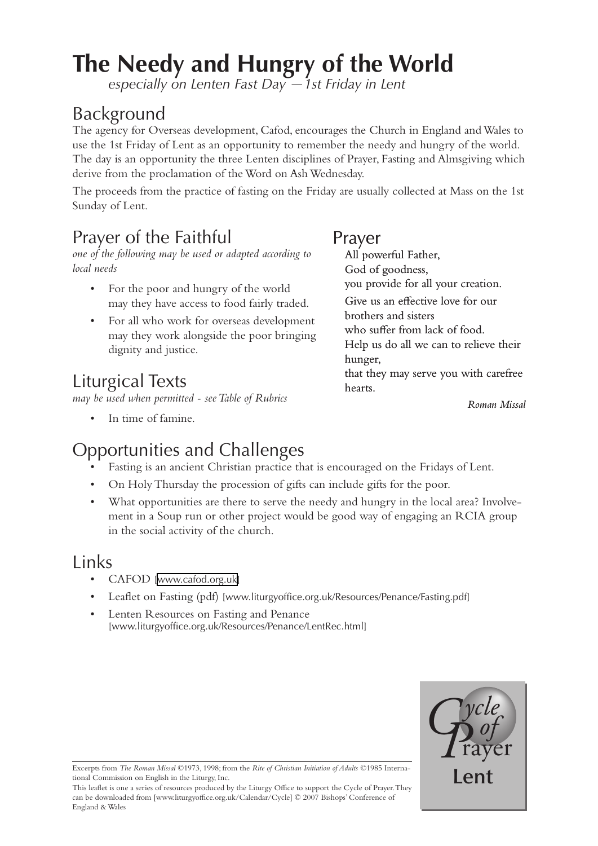# **The Needy and Hungry of the World**

*especially on Lenten Fast Day —1st Friday in Lent*

### Background

The agency for Overseas development, Cafod, encourages the Church in England and Wales to use the 1st Friday of Lent as an opportunity to remember the needy and hungry of the world. The day is an opportunity the three Lenten disciplines of Prayer, Fasting and Almsgiving which derive from the proclamation of the Word on Ash Wednesday.

The proceeds from the practice of fasting on the Friday are usually collected at Mass on the 1st Sunday of Lent.

### Prayer of the Faithful

*one of the following may be used or adapted according to local needs*

- For the poor and hungry of the world may they have access to food fairly traded. •
- For all who work for overseas development may they work alongside the poor bringing dignity and justice.

## Liturgical Texts

*may be used when permitted - see Table of Rubrics*

• In time of famine.

#### Prayer

All powerful Father, God of goodness, you provide for all your creation. Give us an effective love for our brothers and sisters who suffer from lack of food. Help us do all we can to relieve their hunger, that they may serve you with carefree hearts.

*Roman Missal*

### Opportunities and Challenges

- Fasting is an ancient Christian practice that is encouraged on the Fridays of Lent. •
- On Holy Thursday the procession of gifts can include gifts for the poor. •
- What opportunities are there to serve the needy and hungry in the local area? Involve-• ment in a Soup run or other project would be good way of engaging an RCIA group in the social activity of the church.

### Links

- CAFOD [[www.cafod.org.uk](http://www.cafod.org.uk)]
- Leaflet on Fasting (pdf) [[www.liturgyoffice.org.uk/Resources/Penance/Fasting.pdf\]](http://www.liturgyoffice.org.uk/Resources/Penance/Fasting.pdf)
- Lenten Resources on Fasting and Penance [\[www.liturgyoffice.org.uk/Resources/Penance/LentRec.html](http://www.liturgyoffice.org.uk/Resources/Penance/LentRec.html)] •



**Lent Excerpts from** *The Roman Missal* ©1973, 1998; from the *Rite of Christian Initiation of Adults* ©1985 International Commission on English in the Liturgy, Inc. tional Commission on English in the Liturgy, Inc.

This leaflet is one a series of resources produced by the Liturgy Office to support the Cycle of Prayer. They can be downloaded from [www.liturgyoffice.org.uk/Calendar/Cycle] © 2007 Bishops' Conference of England & Wales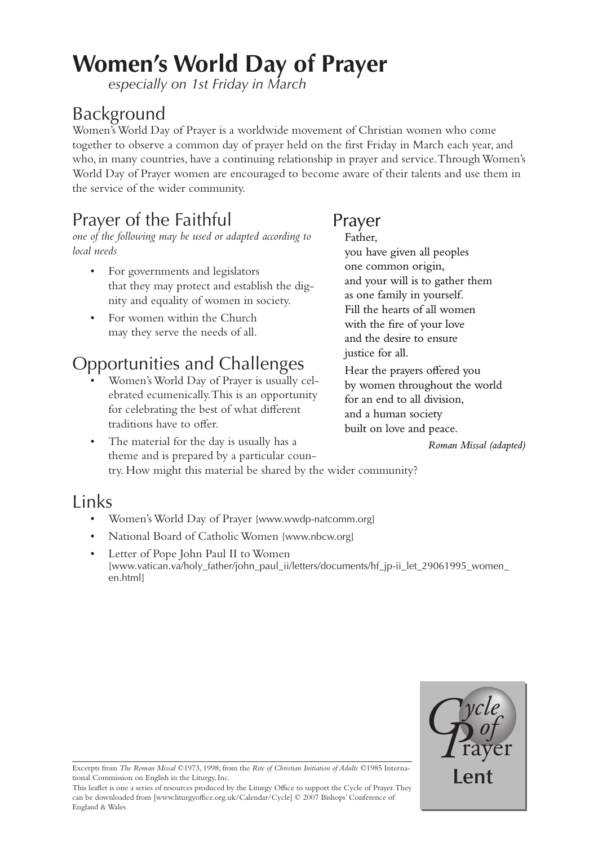# **Women's World Day of Prayer**

*especially on 1st Friday in March*

### Background

Women's World Day of Prayer is a worldwide movement of Christian women who come together to observe a common day of prayer held on the first Friday in March each year, and who, in many countries, have a continuing relationship in prayer and service. Through Women's World Day of Prayer women are encouraged to become aware of their talents and use them in the service of the wider community.

### Prayer of the Faithful

*one of the following may be used or adapted according to local needs*

- For governments and legislators that they may protect and establish the dignity and equality of women in society. •
- For women within the Church may they serve the needs of all. •

### Opportunities and Challenges

Women's World Day of Prayer is usually celebrated ecumenically. This is an opportunity for celebrating the best of what different traditions have to offer. •

#### Prayer Father,

you have given all peoples one common origin, and your will is to gather them as one family in yourself. Fill the hearts of all women with the fire of your love and the desire to ensure justice for all.

Hear the prayers offered you by women throughout the world for an end to all division, and a human society built on love and peace.

*Roman Missal (adapted)*

The material for the day is usually has a theme and is prepared by a particular country. How might this material be shared by the wider community? •

### Links

- Women's World Day of Prayer [[www.wwdp-natcomm.org](http://www.wwdp-natcomm.org)] •
- National Board of Catholic Women [\[www.nbcw.org](http://www.nbcw.org)] •
- Letter of Pope John Paul II to Women [\[www.vatican.va/holy\\_father/john\\_paul\\_ii/letters/documents/hf\\_jp-ii\\_let\\_29061995\\_women\\_](http://www.vatican.va/holy_father/john_paul_ii/letters/documents/hf_jp-ii_let_29061995_women_en.html) [en.html\]](http://www.vatican.va/holy_father/john_paul_ii/letters/documents/hf_jp-ii_let_29061995_women_en.html) •



**Lends** Excerpts from *The Roman Missal* ©1973, 1998; from the *Rite of Christian Initiation of Adults* ©1985 International Commission on English in the Liturgy, Inc. tional Commission on English in the Liturgy, Inc.

This leaflet is one a series of resources produced by the Liturgy Office to support the Cycle of Prayer. They can be downloaded from [www.liturgyoffice.org.uk/Calendar/Cycle] © 2007 Bishops' Conference of England & Wales